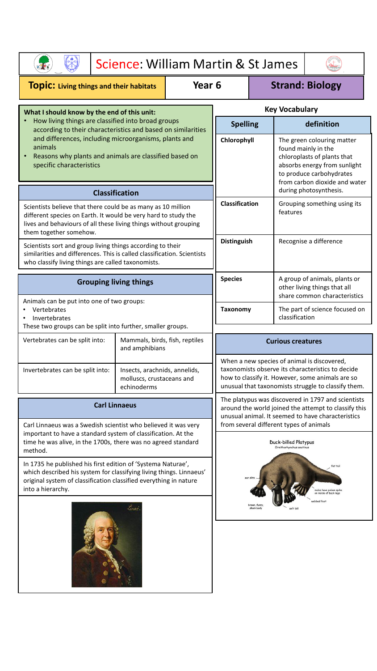|                                                                                                                                                                                                                                                                                                                                                                                                                                              | Science: William Martin & St James                                        |  |                    |                                                                                                                                                                                                             |                         |                                                                                                                                                                               |                              |  |
|----------------------------------------------------------------------------------------------------------------------------------------------------------------------------------------------------------------------------------------------------------------------------------------------------------------------------------------------------------------------------------------------------------------------------------------------|---------------------------------------------------------------------------|--|--------------------|-------------------------------------------------------------------------------------------------------------------------------------------------------------------------------------------------------------|-------------------------|-------------------------------------------------------------------------------------------------------------------------------------------------------------------------------|------------------------------|--|
| Year 6<br><b>TOPIC:</b> Living things and their habitats                                                                                                                                                                                                                                                                                                                                                                                     |                                                                           |  |                    | <b>Strand: Biology</b>                                                                                                                                                                                      |                         |                                                                                                                                                                               |                              |  |
| What I should know by the end of this unit:                                                                                                                                                                                                                                                                                                                                                                                                  |                                                                           |  |                    | <b>Key Vocabulary</b>                                                                                                                                                                                       |                         |                                                                                                                                                                               |                              |  |
| How living things are classified into broad groups<br>according to their characteristics and based on similarities                                                                                                                                                                                                                                                                                                                           |                                                                           |  |                    | <b>Spelling</b>                                                                                                                                                                                             |                         |                                                                                                                                                                               | definition                   |  |
| and differences, including microorganisms, plants and<br>animals<br>Reasons why plants and animals are classified based on<br>specific characteristics                                                                                                                                                                                                                                                                                       |                                                                           |  |                    | Chlorophyll                                                                                                                                                                                                 |                         | The green colouring matter<br>found mainly in the<br>chloroplasts of plants that<br>absorbs energy from sunlight<br>to produce carbohydrates<br>from carbon dioxide and water |                              |  |
| <b>Classification</b>                                                                                                                                                                                                                                                                                                                                                                                                                        |                                                                           |  |                    |                                                                                                                                                                                                             |                         | during photosynthesis.                                                                                                                                                        |                              |  |
| Scientists believe that there could be as many as 10 million<br>different species on Earth. It would be very hard to study the<br>lives and behaviours of all these living things without grouping<br>them together somehow.                                                                                                                                                                                                                 |                                                                           |  |                    | <b>Classification</b>                                                                                                                                                                                       |                         | Grouping something using its<br>features                                                                                                                                      |                              |  |
| Scientists sort and group living things according to their<br>similarities and differences. This is called classification. Scientists<br>who classify living things are called taxonomists.                                                                                                                                                                                                                                                  |                                                                           |  | <b>Distinguish</b> |                                                                                                                                                                                                             | Recognise a difference  |                                                                                                                                                                               |                              |  |
| <b>Grouping living things</b>                                                                                                                                                                                                                                                                                                                                                                                                                |                                                                           |  |                    | <b>Species</b><br>A group of animals, plants or<br>other living things that all                                                                                                                             |                         |                                                                                                                                                                               | share common characteristics |  |
| Animals can be put into one of two groups:<br>Vertebrates<br>Invertebrates<br>These two groups can be split into further, smaller groups.                                                                                                                                                                                                                                                                                                    |                                                                           |  | <b>Taxonomy</b>    | The part of science focused on<br>classification                                                                                                                                                            |                         |                                                                                                                                                                               |                              |  |
| Vertebrates can be split into:                                                                                                                                                                                                                                                                                                                                                                                                               | Mammals, birds, fish, reptiles<br>and amphibians                          |  |                    | <b>Curious creatures</b>                                                                                                                                                                                    |                         |                                                                                                                                                                               |                              |  |
| Invertebrates can be split into:                                                                                                                                                                                                                                                                                                                                                                                                             | Insects, arachnids, annelids,<br>molluscs, crustaceans and<br>echinoderms |  |                    | When a new species of animal is discovered,<br>taxonomists observe its characteristics to decide<br>how to classify it. However, some animals are so<br>unusual that taxonomists struggle to classify them. |                         |                                                                                                                                                                               |                              |  |
| <b>Carl Linnaeus</b>                                                                                                                                                                                                                                                                                                                                                                                                                         |                                                                           |  |                    | The platypus was discovered in 1797 and scientists<br>around the world joined the attempt to classify this<br>unusual animal. It seemed to have characteristics                                             |                         |                                                                                                                                                                               |                              |  |
| Carl Linnaeus was a Swedish scientist who believed it was very<br>important to have a standard system of classification. At the<br>time he was alive, in the 1700s, there was no agreed standard<br>method.<br>In 1735 he published his first edition of 'Systema Naturae',<br>which described his system for classifying living things. Linnaeus'<br>original system of classification classified everything in nature<br>into a hierarchy. |                                                                           |  |                    | from several different types of animals<br><b>Duck-billed Platypus</b><br>Ornithorhynchus anatinus                                                                                                          |                         |                                                                                                                                                                               |                              |  |
|                                                                                                                                                                                                                                                                                                                                                                                                                                              |                                                                           |  |                    |                                                                                                                                                                                                             | flat tail<br>ebbed feet |                                                                                                                                                                               |                              |  |
|                                                                                                                                                                                                                                                                                                                                                                                                                                              | Linne                                                                     |  |                    |                                                                                                                                                                                                             |                         |                                                                                                                                                                               |                              |  |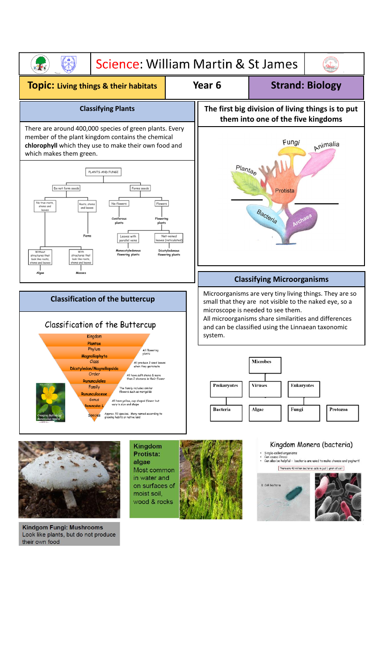



Kindgom Fungi: Mushrooms Look like plants, but do not produce their own food





Single-celled organisms<br>Can cause illness<br>Can also be helpful - bacteria are used to make cheese and yoghurt!